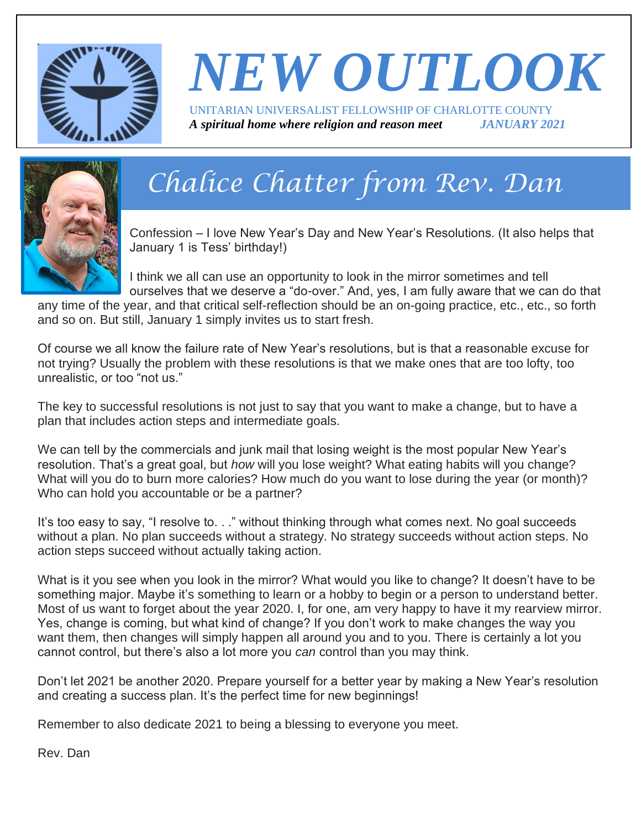

### *NEW OUTLOOK* UNITARIAN UNIVERSALIST FELLOWSHIP OF CHARLOTTE COUNTY *A spiritual home where religion and reason meet JANUARY 2021*



# *Chalice Chatter from Rev. Dan*

Confession – I love New Year's Day and New Year's Resolutions. (It also helps that January 1 is Tess' birthday!)

I think we all can use an opportunity to look in the mirror sometimes and tell ourselves that we deserve a "do-over." And, yes, I am fully aware that we can do that

any time of the year, and that critical self-reflection should be an on-going practice, etc., etc., so forth and so on. But still, January 1 simply invites us to start fresh.

Of course we all know the failure rate of New Year's resolutions, but is that a reasonable excuse for not trying? Usually the problem with these resolutions is that we make ones that are too lofty, too unrealistic, or too "not us."

The key to successful resolutions is not just to say that you want to make a change, but to have a plan that includes action steps and intermediate goals.

We can tell by the commercials and junk mail that losing weight is the most popular New Year's resolution. That's a great goal, but *how* will you lose weight? What eating habits will you change? What will you do to burn more calories? How much do you want to lose during the year (or month)? Who can hold you accountable or be a partner?

It's too easy to say, "I resolve to. . ." without thinking through what comes next. No goal succeeds without a plan. No plan succeeds without a strategy. No strategy succeeds without action steps. No action steps succeed without actually taking action.

What is it you see when you look in the mirror? What would you like to change? It doesn't have to be something major. Maybe it's something to learn or a hobby to begin or a person to understand better. Most of us want to forget about the year 2020. I, for one, am very happy to have it my rearview mirror. Yes, change is coming, but what kind of change? If you don't work to make changes the way you want them, then changes will simply happen all around you and to you. There is certainly a lot you cannot control, but there's also a lot more you *can* control than you may think.

Don't let 2021 be another 2020. Prepare yourself for a better year by making a New Year's resolution and creating a success plan. It's the perfect time for new beginnings!

Remember to also dedicate 2021 to being a blessing to everyone you meet.

Rev. Dan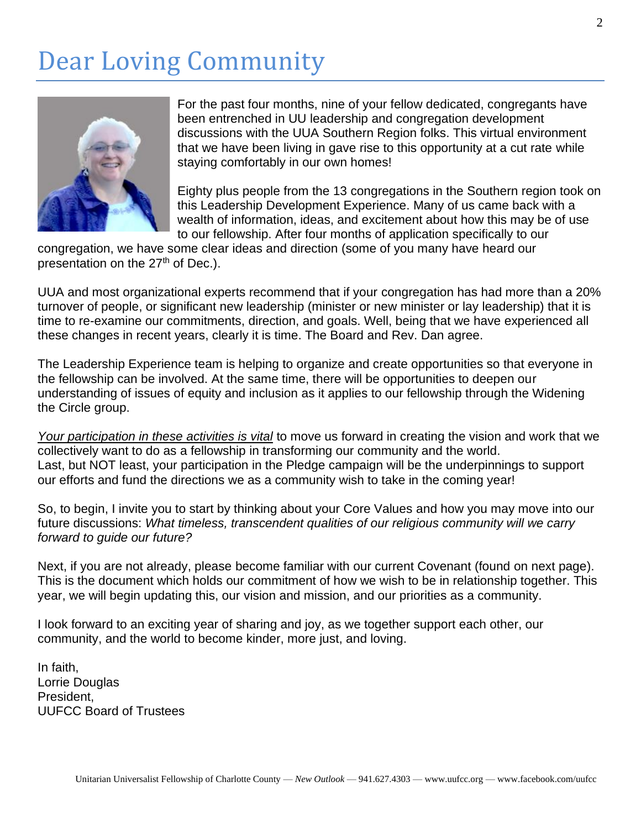### Dear Loving Community



For the past four months, nine of your fellow dedicated, congregants have been entrenched in UU leadership and congregation development discussions with the UUA Southern Region folks. This virtual environment that we have been living in gave rise to this opportunity at a cut rate while staying comfortably in our own homes!

Eighty plus people from the 13 congregations in the Southern region took on this Leadership Development Experience. Many of us came back with a wealth of information, ideas, and excitement about how this may be of use to our fellowship. After four months of application specifically to our

congregation, we have some clear ideas and direction (some of you many have heard our presentation on the 27<sup>th</sup> of Dec.).

UUA and most organizational experts recommend that if your congregation has had more than a 20% turnover of people, or significant new leadership (minister or new minister or lay leadership) that it is time to re-examine our commitments, direction, and goals. Well, being that we have experienced all these changes in recent years, clearly it is time. The Board and Rev. Dan agree.

The Leadership Experience team is helping to organize and create opportunities so that everyone in the fellowship can be involved. At the same time, there will be opportunities to deepen our understanding of issues of equity and inclusion as it applies to our fellowship through the Widening the Circle group.

*Your participation in these activities is vital* to move us forward in creating the vision and work that we collectively want to do as a fellowship in transforming our community and the world. Last, but NOT least, your participation in the Pledge campaign will be the underpinnings to support our efforts and fund the directions we as a community wish to take in the coming year!

So, to begin, I invite you to start by thinking about your Core Values and how you may move into our future discussions: *What timeless, transcendent qualities of our religious community will we carry forward to guide our future?*

Next, if you are not already, please become familiar with our current Covenant (found on next page). This is the document which holds our commitment of how we wish to be in relationship together. This year, we will begin updating this, our vision and mission, and our priorities as a community.

I look forward to an exciting year of sharing and joy, as we together support each other, our community, and the world to become kinder, more just, and loving.

In faith, Lorrie Douglas President, UUFCC Board of Trustees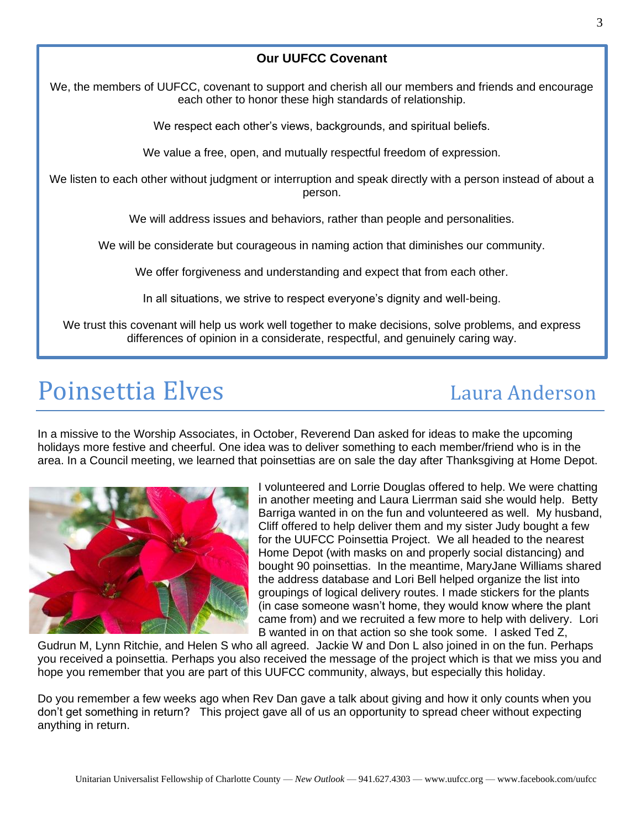### **Our UUFCC Covenant**

We, the members of UUFCC, covenant to support and cherish all our members and friends and encourage each other to honor these high standards of relationship.

We respect each other's views, backgrounds, and spiritual beliefs.

We value a free, open, and mutually respectful freedom of expression.

We listen to each other without judgment or interruption and speak directly with a person instead of about a person.

We will address issues and behaviors, rather than people and personalities.

We will be considerate but courageous in naming action that diminishes our community.

We offer forgiveness and understanding and expect that from each other.

In all situations, we strive to respect everyone's dignity and well-being.

We trust this covenant will help us work well together to make decisions, solve problems, and express differences of opinion in a considerate, respectful, and genuinely caring way.

### Poinsettia Elves and the Laura Anderson

In a missive to the Worship Associates, in October, Reverend Dan asked for ideas to make the upcoming holidays more festive and cheerful. One idea was to deliver something to each member/friend who is in the area. In a Council meeting, we learned that poinsettias are on sale the day after Thanksgiving at Home Depot.



I volunteered and Lorrie Douglas offered to help. We were chatting in another meeting and Laura Lierrman said she would help. Betty Barriga wanted in on the fun and volunteered as well. My husband, Cliff offered to help deliver them and my sister Judy bought a few for the UUFCC Poinsettia Project. We all headed to the nearest Home Depot (with masks on and properly social distancing) and bought 90 poinsettias. In the meantime, MaryJane Williams shared the address database and Lori Bell helped organize the list into groupings of logical delivery routes. I made stickers for the plants (in case someone wasn't home, they would know where the plant came from) and we recruited a few more to help with delivery. Lori B wanted in on that action so she took some. I asked Ted Z,

Gudrun M, Lynn Ritchie, and Helen S who all agreed. Jackie W and Don L also joined in on the fun. Perhaps you received a poinsettia. Perhaps you also received the message of the project which is that we miss you and hope you remember that you are part of this UUFCC community, always, but especially this holiday.

Do you remember a few weeks ago when Rev Dan gave a talk about giving and how it only counts when you don't get something in return? This project gave all of us an opportunity to spread cheer without expecting anything in return.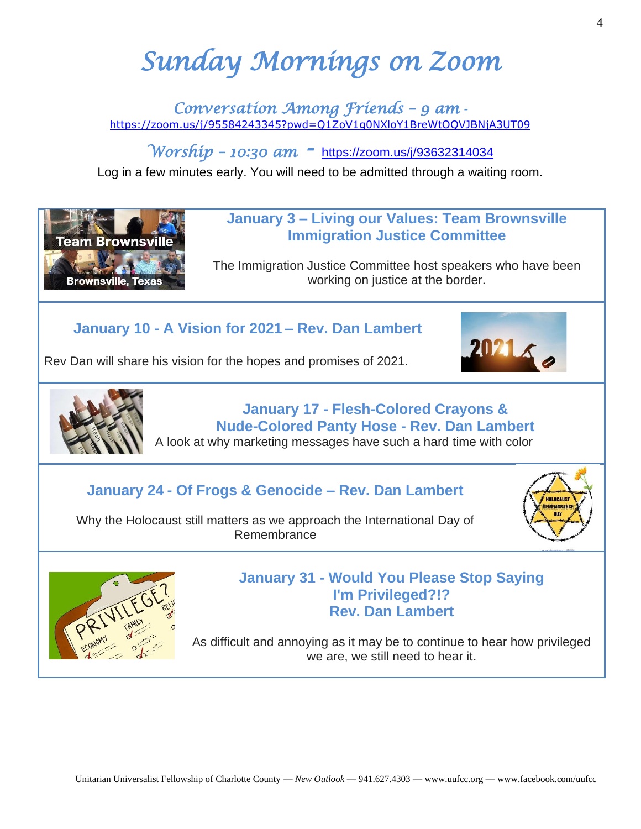# *Sunday Mornings on Zoom*

*Conversation Among Friends – 9 am*  <https://zoom.us/j/95584243345?pwd=Q1ZoV1g0NXloY1BreWtOQVJBNjA3UT09>

*Worship – 10:30 am -* <https://zoom.us/j/93632314034>

Log in a few minutes early. You will need to be admitted through a waiting room.

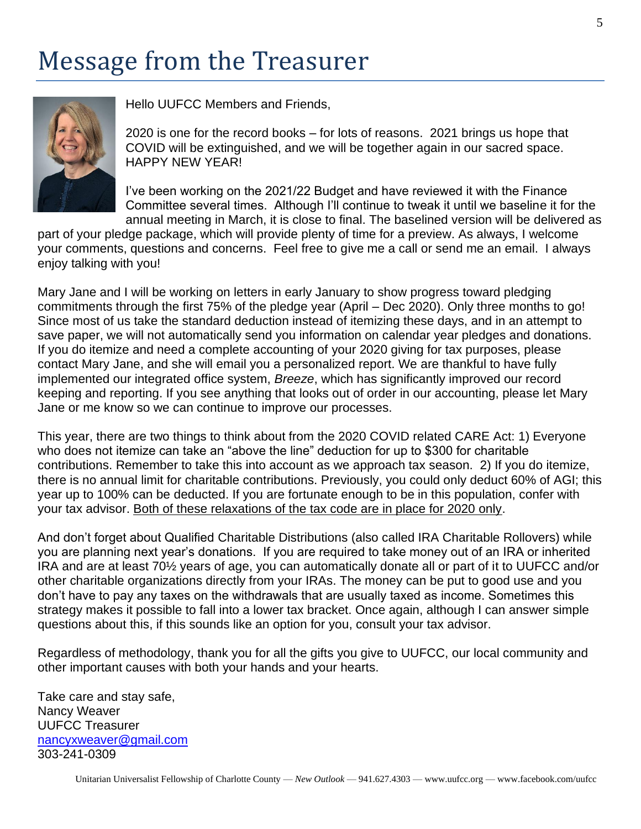## Message from the Treasurer



Hello UUFCC Members and Friends,

2020 is one for the record books – for lots of reasons. 2021 brings us hope that COVID will be extinguished, and we will be together again in our sacred space. HAPPY NEW YEAR!

I've been working on the 2021/22 Budget and have reviewed it with the Finance Committee several times. Although I'll continue to tweak it until we baseline it for the annual meeting in March, it is close to final. The baselined version will be delivered as

part of your pledge package, which will provide plenty of time for a preview. As always, I welcome your comments, questions and concerns. Feel free to give me a call or send me an email. I always enjoy talking with you!

Mary Jane and I will be working on letters in early January to show progress toward pledging commitments through the first 75% of the pledge year (April – Dec 2020). Only three months to go! Since most of us take the standard deduction instead of itemizing these days, and in an attempt to save paper, we will not automatically send you information on calendar year pledges and donations. If you do itemize and need a complete accounting of your 2020 giving for tax purposes, please contact Mary Jane, and she will email you a personalized report. We are thankful to have fully implemented our integrated office system, *Breeze*, which has significantly improved our record keeping and reporting. If you see anything that looks out of order in our accounting, please let Mary Jane or me know so we can continue to improve our processes.

This year, there are two things to think about from the 2020 COVID related CARE Act: 1) Everyone who does not itemize can take an "above the line" deduction for up to \$300 for charitable contributions. Remember to take this into account as we approach tax season. 2) If you do itemize, there is no annual limit for charitable contributions. Previously, you could only deduct 60% of AGI; this year up to 100% can be deducted. If you are fortunate enough to be in this population, confer with your tax advisor. Both of these relaxations of the tax code are in place for 2020 only.

And don't forget about Qualified Charitable Distributions (also called IRA Charitable Rollovers) while you are planning next year's donations. If you are required to take money out of an IRA or inherited IRA and are at least 70½ years of age, you can automatically donate all or part of it to UUFCC and/or other charitable organizations directly from your IRAs. The money can be put to good use and you don't have to pay any taxes on the withdrawals that are usually taxed as income. Sometimes this strategy makes it possible to fall into a lower tax bracket. Once again, although I can answer simple questions about this, if this sounds like an option for you, consult your tax advisor.

Regardless of methodology, thank you for all the gifts you give to UUFCC, our local community and other important causes with both your hands and your hearts.

Take care and stay safe, Nancy Weaver UUFCC Treasurer [nancyxweaver@gmail.com](mailto:nancyxweaver@gmail.com) 303-241-0309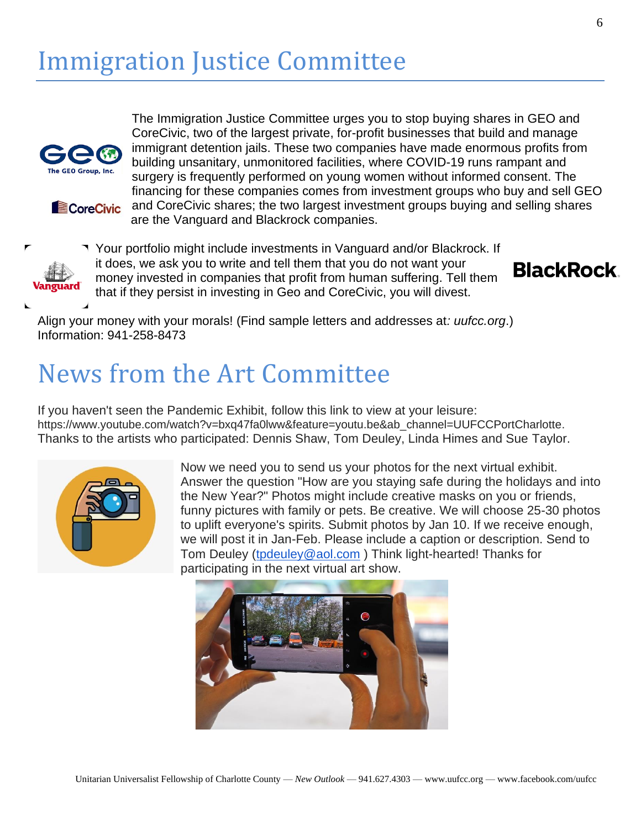

**E**CoreCivic

The Immigration Justice Committee urges you to stop buying shares in GEO and CoreCivic, two of the largest private, for-profit businesses that build and manage immigrant detention jails. These two companies have made enormous profits from building unsanitary, unmonitored facilities, where COVID-19 runs rampant and surgery is frequently performed on young women without informed consent. The financing for these companies comes from investment groups who buy and sell GEO and CoreCivic shares; the two largest investment groups buying and selling shares

are the Vanguard and Blackrock companies.

Your portfolio might include investments in Vanguard and/or Blackrock. If it does, we ask you to write and tell them that you do not want your money invested in companies that profit from human suffering. Tell them that if they persist in investing in Geo and CoreCivic, you will divest.





Align your money with your morals! (Find sample letters and addresses at*: uufcc.org*.) Information: 941-258-8473

### News from the Art Committee

If you haven't seen the Pandemic Exhibit, follow this link to view at your leisure: https://www.youtube.com/watch?v=bxq47fa0lww&feature=youtu.be&ab\_channel=UUFCCPortCharlotte. Thanks to the artists who participated: Dennis Shaw, Tom Deuley, Linda Himes and Sue Taylor.



Now we need you to send us your photos for the next virtual exhibit. Answer the question "How are you staying safe during the holidays and into the New Year?" Photos might include creative masks on you or friends, funny pictures with family or pets. Be creative. We will choose 25-30 photos to uplift everyone's spirits. Submit photos by Jan 10. If we receive enough, we will post it in Jan-Feb. Please include a caption or description. Send to Tom Deuley [\(tpdeuley@aol.com](mailto:tpdeuley@aol.com) ) Think light-hearted! Thanks for participating in the next virtual art show.

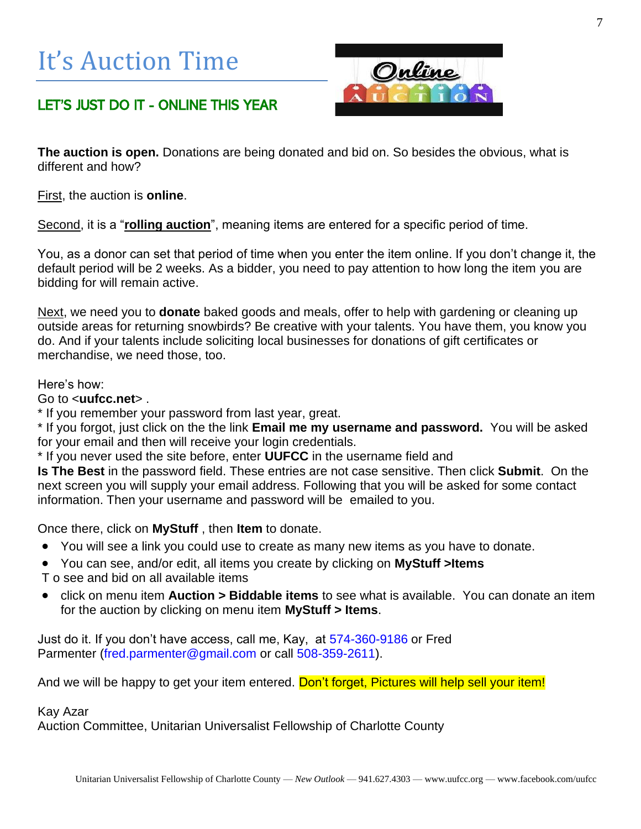# It's Auction Time



### LET'S JUST DO IT - ONLINE THIS YEAR

**The auction is open.** Donations are being donated and bid on. So besides the obvious, what is different and how?

First, the auction is **online**.

Second, it is a "**rolling auction**", meaning items are entered for a specific period of time.

You, as a donor can set that period of time when you enter the item online. If you don't change it, the default period will be 2 weeks. As a bidder, you need to pay attention to how long the item you are bidding for will remain active.

Next, we need you to **donate** baked goods and meals, offer to help with gardening or cleaning up outside areas for returning snowbirds? Be creative with your talents. You have them, you know you do. And if your talents include soliciting local businesses for donations of gift certificates or merchandise, we need those, too.

### Here's how:

Go to <**uufcc.net**> .

\* If you remember your password from last year, great.

\* If you forgot, just click on the the link **Email me my username and password.** You will be asked for your email and then will receive your login credentials.

\* If you never used the site before, enter **UUFCC** in the username field and

**Is The Best** in the password field. These entries are not case sensitive. Then click **Submit**. On the next screen you will supply your email address. Following that you will be asked for some contact information. Then your username and password will be emailed to you.

Once there, click on **MyStuff** , then **Item** to donate.

- You will see a link you could use to create as many new items as you have to donate.
- You can see, and/or edit, all items you create by clicking on **MyStuff >Items**

T o see and bid on all available items

• click on menu item **Auction > Biddable items** to see what is available. You can donate an item for the auction by clicking on menu item **MyStuff > Items**.

Just do it. If you don't have access, call me, Kay, at [574-360-9186](tel:574-360-9186) or Fred Parmenter [\(fred.parmenter@gmail.com](mailto:fred.parmenter@gmail.com) or call [508-359-2611\)](tel:508-359-2611).

And we will be happy to get your item entered. Don't forget, Pictures will help sell your item!

Kay Azar

Auction Committee, Unitarian Universalist Fellowship of Charlotte County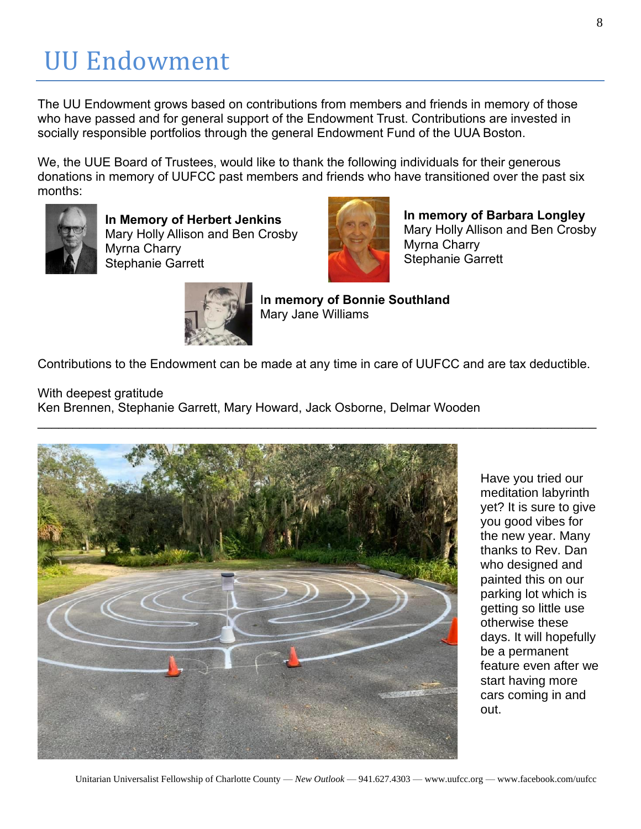# UU Endowment

The UU Endowment grows based on contributions from members and friends in memory of those who have passed and for general support of the Endowment Trust. Contributions are invested in socially responsible portfolios through the general Endowment Fund of the UUA Boston.

We, the UUE Board of Trustees, would like to thank the following individuals for their generous donations in memory of UUFCC past members and friends who have transitioned over the past six months:



**In Memory of Herbert Jenkins** Mary Holly Allison and Ben Crosby Myrna Charry Stephanie Garrett



**In memory of Barbara Longley** Mary Holly Allison and Ben Crosby Myrna Charry Stephanie Garrett



I**n memory of Bonnie Southland** Mary Jane Williams

Contributions to the Endowment can be made at any time in care of UUFCC and are tax deductible.

With deepest gratitude

Ken Brennen, Stephanie Garrett, Mary Howard, Jack Osborne, Delmar Wooden



Have you tried our meditation labyrinth yet? It is sure to give you good vibes for the new year. Many thanks to Rev. Dan who designed and painted this on our parking lot which is getting so little use otherwise these days. It will hopefully be a permanent feature even after we start having more cars coming in and out.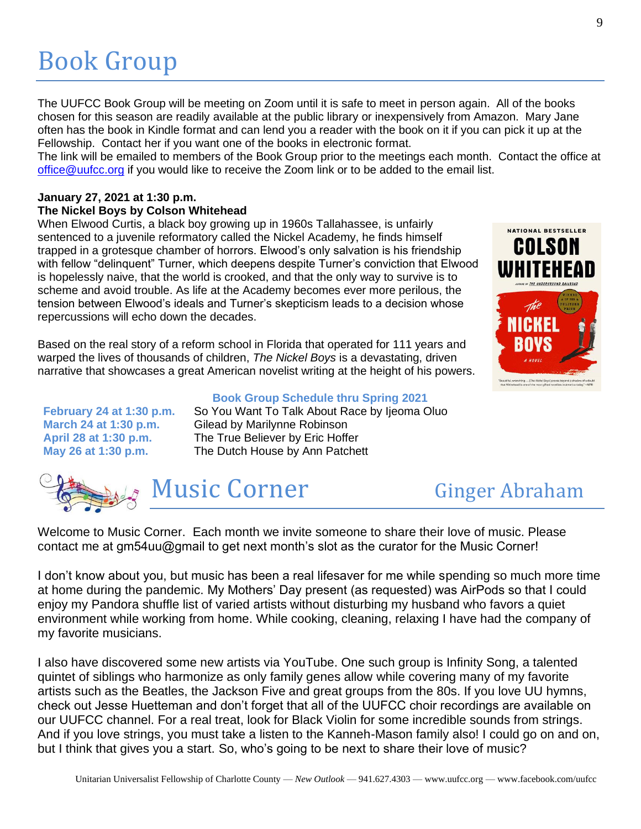# Book Group

The UUFCC Book Group will be meeting on Zoom until it is safe to meet in person again. All of the books chosen for this season are readily available at the public library or inexpensively from Amazon. Mary Jane often has the book in Kindle format and can lend you a reader with the book on it if you can pick it up at the Fellowship. Contact her if you want one of the books in electronic format.

The link will be emailed to members of the Book Group prior to the meetings each month. Contact the office at [office@uufcc.org](mailto:office@uufcc.org) if you would like to receive the Zoom link or to be added to the email list.

### **January 27, 2021 at 1:30 p.m. The Nickel Boys by Colson Whitehead**

When Elwood Curtis, a black boy growing up in 1960s Tallahassee, is unfairly sentenced to a juvenile reformatory called the Nickel Academy, he finds himself trapped in a grotesque chamber of horrors. Elwood's only salvation is his friendship with fellow "delinquent" Turner, which deepens despite Turner's conviction that Elwood is hopelessly naive, that the world is crooked, and that the only way to survive is to scheme and avoid trouble. As life at the Academy becomes ever more perilous, the tension between Elwood's ideals and Turner's skepticism leads to a decision whose repercussions will echo down the decades.

Based on the real story of a reform school in Florida that operated for 111 years and warped the lives of thousands of children, *The Nickel Boys* is a devastating, driven narrative that showcases a great American novelist writing at the height of his powers.

### **Book Group Schedule thru Spring 2021**

**February 24 at 1:30 p.m.** So You Want To Talk About Race by Ijeoma Oluo **March 24 at 1:30 p.m.** Gilead by Marilynne Robinson **April 28 at 1:30 p.m.** The True Believer by Eric Hoffer **May 26 at 1:30 p.m.** The Dutch House by Ann Patchett



Welcome to Music Corner. Each month we invite someone to share their love of music. Please contact me at gm54uu@gmail to get next month's slot as the curator for the Music Corner!

I don't know about you, but music has been a real lifesaver for me while spending so much more time at home during the pandemic. My Mothers' Day present (as requested) was AirPods so that I could enjoy my Pandora shuffle list of varied artists without disturbing my husband who favors a quiet environment while working from home. While cooking, cleaning, relaxing I have had the company of my favorite musicians.

I also have discovered some new artists via YouTube. One such group is Infinity Song, a talented quintet of siblings who harmonize as only family genes allow while covering many of my favorite artists such as the Beatles, the Jackson Five and great groups from the 80s. If you love UU hymns, check out Jesse Huetteman and don't forget that all of the UUFCC choir recordings are available on our UUFCC channel. For a real treat, look for Black Violin for some incredible sounds from strings. And if you love strings, you must take a listen to the Kanneh-Mason family also! I could go on and on, but I think that gives you a start. So, who's going to be next to share their love of music?